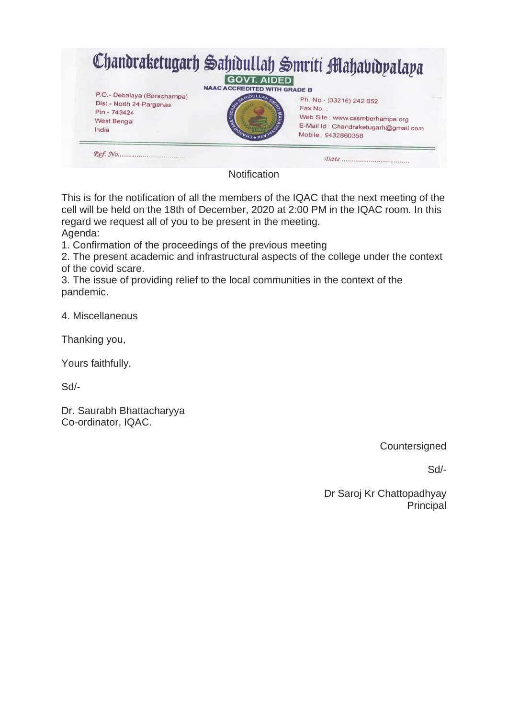

This is for the notification of all the members of the IQAC that the next meeting of the cell will be held on the 18th of December, 2020 at 2:00 PM in the IQAC room. In this regard we request all of you to be present in the meeting. Agenda:

1. Confirmation of the proceedings of the previous meeting

2. The present academic and infrastructural aspects of the college under the context of the covid scare.

3. The issue of providing relief to the local communities in the context of the pandemic.

4. Miscellaneous

Thanking you,

Yours faithfully,

Sd/-

Dr. Saurabh Bhattacharyya Co-ordinator, IQAC.

**Countersigned** 

Sd/-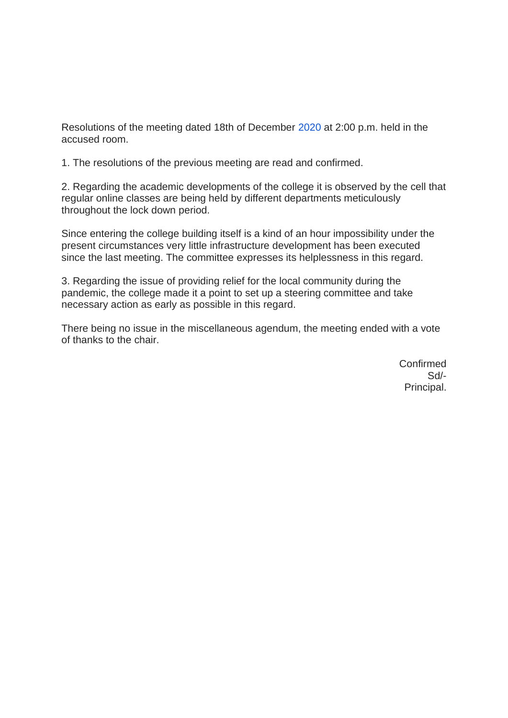Resolutions of the meeting dated 18th of December [2020](tel:20022022) at 2:00 p.m. held in the accused room.

1. The resolutions of the previous meeting are read and confirmed.

2. Regarding the academic developments of the college it is observed by the cell that regular online classes are being held by different departments meticulously throughout the lock down period.

Since entering the college building itself is a kind of an hour impossibility under the present circumstances very little infrastructure development has been executed since the last meeting. The committee expresses its helplessness in this regard.

3. Regarding the issue of providing relief for the local community during the pandemic, the college made it a point to set up a steering committee and take necessary action as early as possible in this regard.

There being no issue in the miscellaneous agendum, the meeting ended with a vote of thanks to the chair.

> Confirmed Sd/- Principal.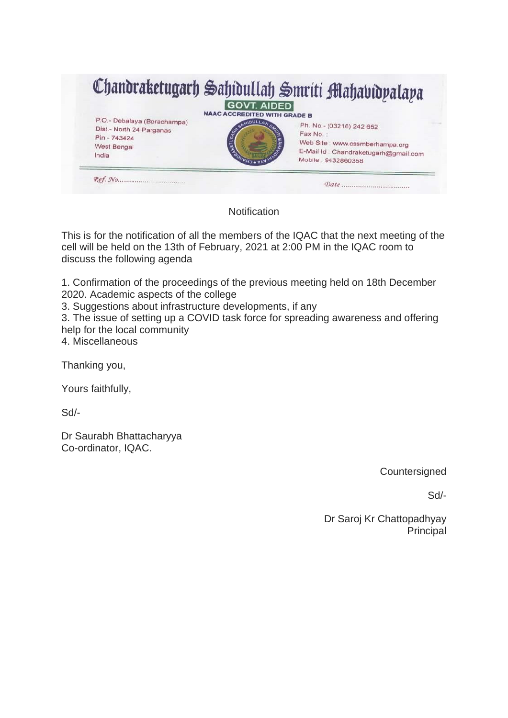

This is for the notification of all the members of the IQAC that the next meeting of the cell will be held on the 13th of February, 2021 at 2:00 PM in the IQAC room to discuss the following agenda

1. Confirmation of the proceedings of the previous meeting held on 18th December 2020. Academic aspects of the college

3. Suggestions about infrastructure developments, if any

3. The issue of setting up a COVID task force for spreading awareness and offering help for the local community

4. Miscellaneous

Thanking you,

Yours faithfully,

Sd/-

Dr Saurabh Bhattacharyya Co-ordinator, IQAC.

**Countersigned** 

Sd/-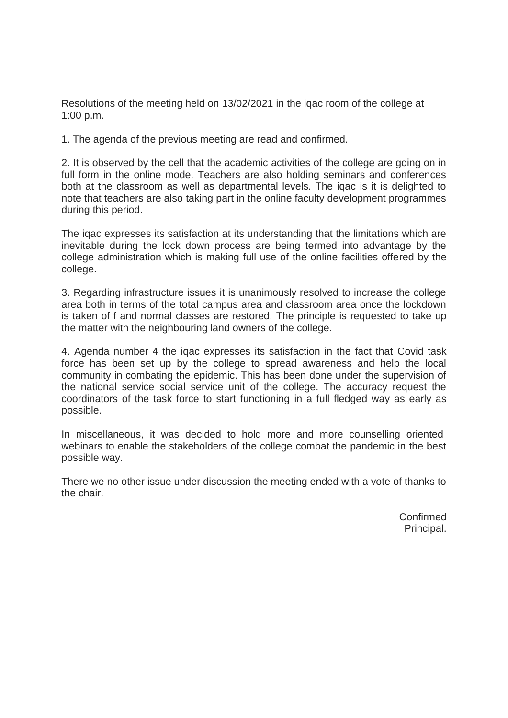Resolutions of the meeting held on 13/02/2021 in the iqac room of the college at 1:00 p.m.

1. The agenda of the previous meeting are read and confirmed.

2. It is observed by the cell that the academic activities of the college are going on in full form in the online mode. Teachers are also holding seminars and conferences both at the classroom as well as departmental levels. The iqac is it is delighted to note that teachers are also taking part in the online faculty development programmes during this period.

The iqac expresses its satisfaction at its understanding that the limitations which are inevitable during the lock down process are being termed into advantage by the college administration which is making full use of the online facilities offered by the college.

3. Regarding infrastructure issues it is unanimously resolved to increase the college area both in terms of the total campus area and classroom area once the lockdown is taken of f and normal classes are restored. The principle is requested to take up the matter with the neighbouring land owners of the college.

4. Agenda number 4 the iqac expresses its satisfaction in the fact that Covid task force has been set up by the college to spread awareness and help the local community in combating the epidemic. This has been done under the supervision of the national service social service unit of the college. The accuracy request the coordinators of the task force to start functioning in a full fledged way as early as possible.

In miscellaneous, it was decided to hold more and more counselling oriented webinars to enable the stakeholders of the college combat the pandemic in the best possible way.

There we no other issue under discussion the meeting ended with a vote of thanks to the chair.

> Confirmed Principal.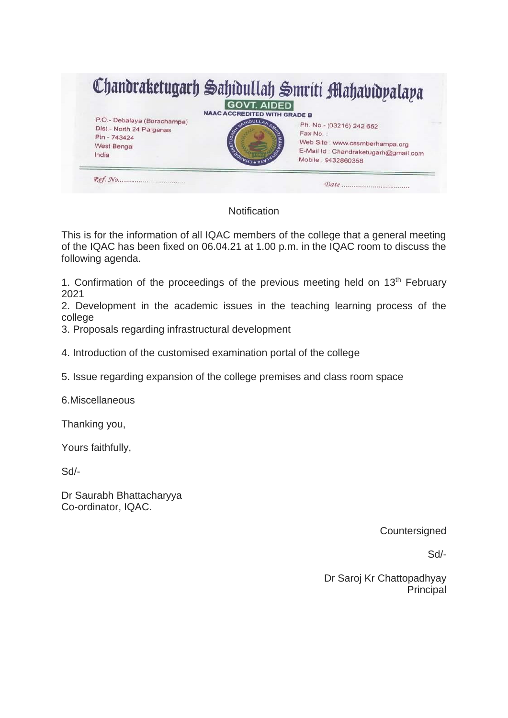

This is for the information of all IQAC members of the college that a general meeting of the IQAC has been fixed on 06.04.21 at 1.00 p.m. in the IQAC room to discuss the following agenda.

1. Confirmation of the proceedings of the previous meeting held on 13<sup>th</sup> February 2021

2. Development in the academic issues in the teaching learning process of the college

3. Proposals regarding infrastructural development

4. Introduction of the customised examination portal of the college

5. Issue regarding expansion of the college premises and class room space

6.Miscellaneous

Thanking you,

Yours faithfully,

Sd/-

Dr Saurabh Bhattacharyya Co-ordinator, IQAC.

**Countersigned** 

Sd/-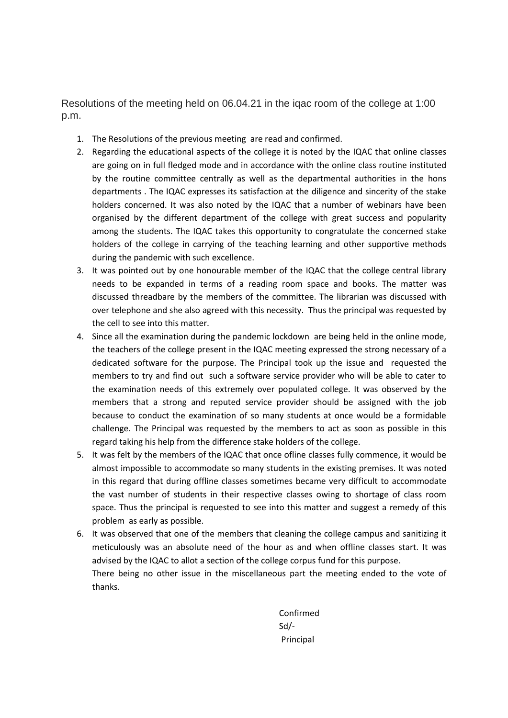Resolutions of the meeting held on 06.04.21 in the iqac room of the college at 1:00 p.m.

- 1. The Resolutions of the previous meeting are read and confirmed.
- 2. Regarding the educational aspects of the college it is noted by the IQAC that online classes are going on in full fledged mode and in accordance with the online class routine instituted by the routine committee centrally as well as the departmental authorities in the hons departments . The IQAC expresses its satisfaction at the diligence and sincerity of the stake holders concerned. It was also noted by the IQAC that a number of webinars have been organised by the different department of the college with great success and popularity among the students. The IQAC takes this opportunity to congratulate the concerned stake holders of the college in carrying of the teaching learning and other supportive methods during the pandemic with such excellence.
- 3. It was pointed out by one honourable member of the IQAC that the college central library needs to be expanded in terms of a reading room space and books. The matter was discussed threadbare by the members of the committee. The librarian was discussed with over telephone and she also agreed with this necessity. Thus the principal was requested by the cell to see into this matter.
- 4. Since all the examination during the pandemic lockdown are being held in the online mode, the teachers of the college present in the IQAC meeting expressed the strong necessary of a dedicated software for the purpose. The Principal took up the issue and requested the members to try and find out such a software service provider who will be able to cater to the examination needs of this extremely over populated college. It was observed by the members that a strong and reputed service provider should be assigned with the job because to conduct the examination of so many students at once would be a formidable challenge. The Principal was requested by the members to act as soon as possible in this regard taking his help from the difference stake holders of the college.
- 5. It was felt by the members of the IQAC that once ofline classes fully commence, it would be almost impossible to accommodate so many students in the existing premises. It was noted in this regard that during offline classes sometimes became very difficult to accommodate the vast number of students in their respective classes owing to shortage of class room space. Thus the principal is requested to see into this matter and suggest a remedy of this problem as early as possible.
- 6. It was observed that one of the members that cleaning the college campus and sanitizing it meticulously was an absolute need of the hour as and when offline classes start. It was advised by the IQAC to allot a section of the college corpus fund for this purpose. There being no other issue in the miscellaneous part the meeting ended to the vote of thanks.

Confirmed Sd/- Principal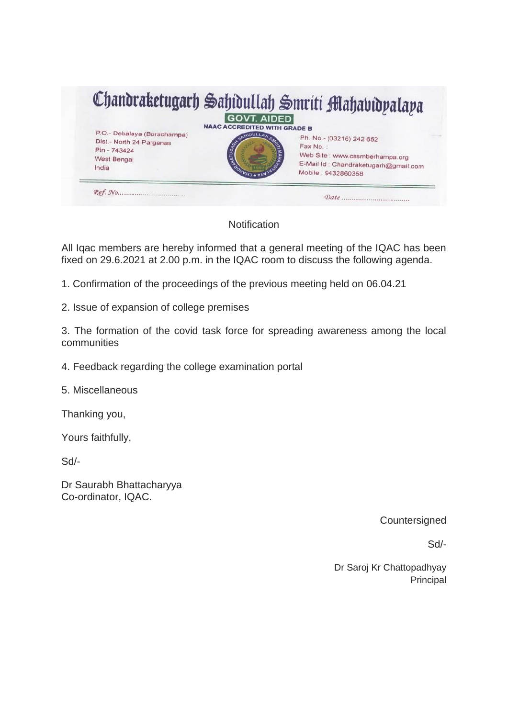

All Iqac members are hereby informed that a general meeting of the IQAC has been fixed on 29.6.2021 at 2.00 p.m. in the IQAC room to discuss the following agenda.

1. Confirmation of the proceedings of the previous meeting held on 06.04.21

2. Issue of expansion of college premises

3. The formation of the covid task force for spreading awareness among the local communities

4. Feedback regarding the college examination portal

5. Miscellaneous

Thanking you,

Yours faithfully,

Sd/-

Dr Saurabh Bhattacharyya Co-ordinator, IQAC.

**Countersigned** 

Sd/-